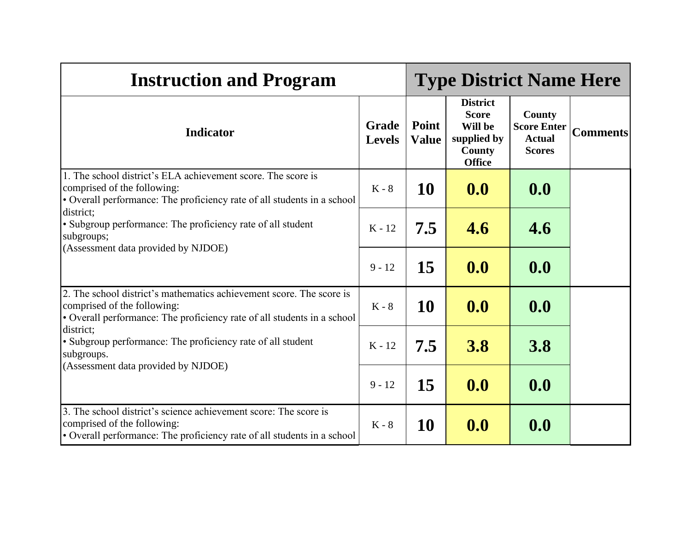| <b>Instruction and Program</b>                                                                                                                                                 |          | <b>Type District Name Here</b> |                                                                                             |                                                                |                 |
|--------------------------------------------------------------------------------------------------------------------------------------------------------------------------------|----------|--------------------------------|---------------------------------------------------------------------------------------------|----------------------------------------------------------------|-----------------|
| <b>Grade</b><br><b>Indicator</b><br><b>Levels</b>                                                                                                                              |          | Point<br><b>Value</b>          | <b>District</b><br><b>Score</b><br>Will be<br>supplied by<br><b>County</b><br><b>Office</b> | County<br><b>Score Enter</b><br><b>Actual</b><br><b>Scores</b> | <b>Comments</b> |
| 1. The school district's ELA achievement score. The score is<br>comprised of the following:<br>• Overall performance: The proficiency rate of all students in a school         | $K - 8$  | 10                             | 0.0                                                                                         | 0.0                                                            |                 |
| district;<br>• Subgroup performance: The proficiency rate of all student<br>subgroups;<br>(Assessment data provided by NJDOE)                                                  | $K - 12$ | 7.5                            | 4.6                                                                                         | 4.6                                                            |                 |
|                                                                                                                                                                                | $9 - 12$ | 15                             | 0.0                                                                                         | 0.0                                                            |                 |
| 2. The school district's mathematics achievement score. The score is<br>comprised of the following:<br>• Overall performance: The proficiency rate of all students in a school | $K - 8$  | 10                             | 0.0                                                                                         | 0.0                                                            |                 |
| district;<br>• Subgroup performance: The proficiency rate of all student<br>subgroups.                                                                                         | $K - 12$ | 7.5                            | <b>3.8</b>                                                                                  | <b>3.8</b>                                                     |                 |
| (Assessment data provided by NJDOE)                                                                                                                                            | $9 - 12$ | 15                             | 0.0                                                                                         | 0.0                                                            |                 |
| 3. The school district's science achievement score: The score is<br>comprised of the following:<br>• Overall performance: The proficiency rate of all students in a school     | $K - 8$  | <b>10</b>                      | 0.0                                                                                         | 0.0                                                            |                 |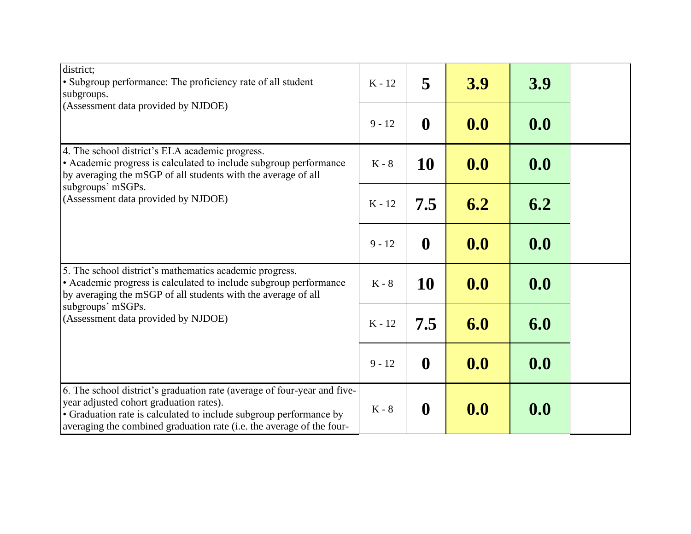| district;<br>• Subgroup performance: The proficiency rate of all student<br>subgroups.<br>(Assessment data provided by NJDOE)                                                                                                                                      | $K - 12$      | 5                | 3.9 | 3.9 |  |
|--------------------------------------------------------------------------------------------------------------------------------------------------------------------------------------------------------------------------------------------------------------------|---------------|------------------|-----|-----|--|
|                                                                                                                                                                                                                                                                    | $9 - 12$      | $\boldsymbol{0}$ | 0.0 | 0.0 |  |
| 4. The school district's ELA academic progress.<br>• Academic progress is calculated to include subgroup performance<br>by averaging the mSGP of all students with the average of all                                                                              | $K - 8$       | 10               | 0.0 | 0.0 |  |
| subgroups' mSGPs.<br>(Assessment data provided by NJDOE)                                                                                                                                                                                                           | $K - 12$      | 7.5              | 6.2 | 6.2 |  |
|                                                                                                                                                                                                                                                                    | $9 - 12$      | $\boldsymbol{0}$ | 0.0 | 0.0 |  |
| 5. The school district's mathematics academic progress.<br>• Academic progress is calculated to include subgroup performance<br>by averaging the mSGP of all students with the average of all<br>subgroups' mSGPs.<br>(Assessment data provided by NJDOE)          | $K - 8$       | 10               | 0.0 | 0.0 |  |
|                                                                                                                                                                                                                                                                    | $K - 12$      | 7.5              | 6.0 | 6.0 |  |
|                                                                                                                                                                                                                                                                    | $9 - 12$      | $\boldsymbol{0}$ | 0.0 | 0.0 |  |
| 6. The school district's graduation rate (average of four-year and five-<br>year adjusted cohort graduation rates).<br>• Graduation rate is calculated to include subgroup performance by<br>averaging the combined graduation rate (i.e. the average of the four- | $\rm K$ - $8$ | $\boldsymbol{0}$ | 0.0 | 0.0 |  |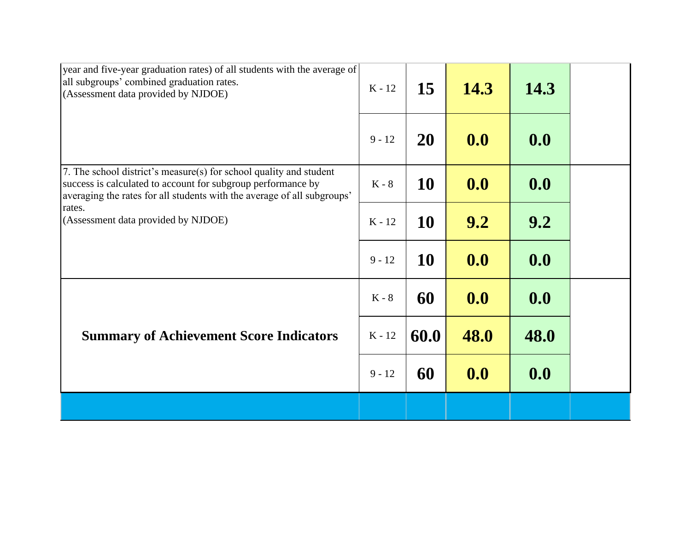| year and five-year graduation rates) of all students with the average of<br>all subgroups' combined graduation rates.<br>(Assessment data provided by NJDOE)                                                  | $K - 12$ | 15        | 14.3 | 14.3 |  |
|---------------------------------------------------------------------------------------------------------------------------------------------------------------------------------------------------------------|----------|-----------|------|------|--|
|                                                                                                                                                                                                               | $9 - 12$ | <b>20</b> | 0.0  | 0.0  |  |
| 7. The school district's measure(s) for school quality and student<br>success is calculated to account for subgroup performance by<br>averaging the rates for all students with the average of all subgroups' | $K - 8$  | 10        | 0.0  | 0.0  |  |
| rates.<br>(Assessment data provided by NJDOE)                                                                                                                                                                 | $K - 12$ | <b>10</b> | 9.2  | 9.2  |  |
| <b>Summary of Achievement Score Indicators</b>                                                                                                                                                                | $9 - 12$ | 10        | 0.0  | 0.0  |  |
|                                                                                                                                                                                                               | $K - 8$  | 60        | 0.0  | 0.0  |  |
|                                                                                                                                                                                                               | $K - 12$ | 60.0      | 48.0 | 48.0 |  |
|                                                                                                                                                                                                               | $9 - 12$ | 60        | 0.0  | 0.0  |  |
|                                                                                                                                                                                                               |          |           |      |      |  |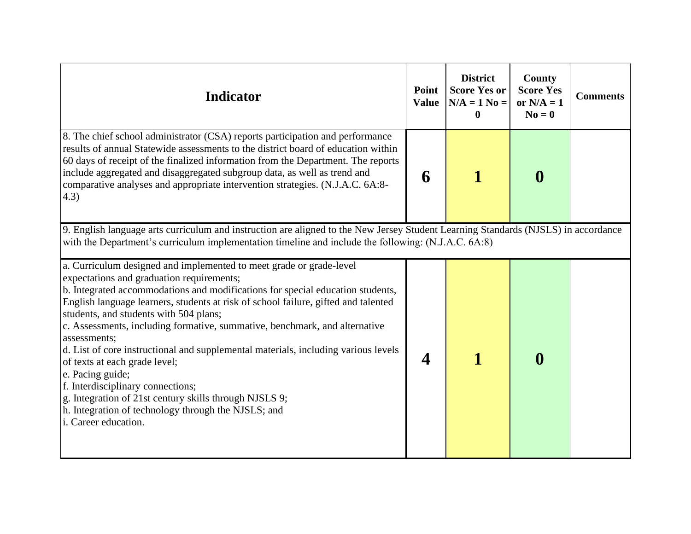| <b>Indicator</b>                                                                                                                                                                                                                                                                                                                                                                                                                                                                                                                                                                                                                                                                                                                                          | Point<br><b>Value</b> | <b>District</b><br><b>Score Yes or</b><br>$N/A = 1$ No =<br>0 | County<br><b>Score Yes</b><br>or $N/A = 1$<br>$N_0 = 0$ | <b>Comments</b> |  |  |
|-----------------------------------------------------------------------------------------------------------------------------------------------------------------------------------------------------------------------------------------------------------------------------------------------------------------------------------------------------------------------------------------------------------------------------------------------------------------------------------------------------------------------------------------------------------------------------------------------------------------------------------------------------------------------------------------------------------------------------------------------------------|-----------------------|---------------------------------------------------------------|---------------------------------------------------------|-----------------|--|--|
| 8. The chief school administrator (CSA) reports participation and performance<br>results of annual Statewide assessments to the district board of education within<br>60 days of receipt of the finalized information from the Department. The reports<br>include aggregated and disaggregated subgroup data, as well as trend and<br>comparative analyses and appropriate intervention strategies. (N.J.A.C. 6A:8-<br>(4.3)                                                                                                                                                                                                                                                                                                                              | 6                     |                                                               | $\boldsymbol{0}$                                        |                 |  |  |
| 9. English language arts curriculum and instruction are aligned to the New Jersey Student Learning Standards (NJSLS) in accordance<br>with the Department's curriculum implementation timeline and include the following: (N.J.A.C. 6A:8)                                                                                                                                                                                                                                                                                                                                                                                                                                                                                                                 |                       |                                                               |                                                         |                 |  |  |
| a. Curriculum designed and implemented to meet grade or grade-level<br>expectations and graduation requirements;<br>b. Integrated accommodations and modifications for special education students,<br>English language learners, students at risk of school failure, gifted and talented<br>students, and students with 504 plans;<br>c. Assessments, including formative, summative, benchmark, and alternative<br>assessments;<br>d. List of core instructional and supplemental materials, including various levels<br>of texts at each grade level;<br>e. Pacing guide;<br>f. Interdisciplinary connections;<br>g. Integration of 21st century skills through NJSLS 9;<br>h. Integration of technology through the NJSLS; and<br>i. Career education. | $\boldsymbol{4}$      |                                                               | $\mathbf 0$                                             |                 |  |  |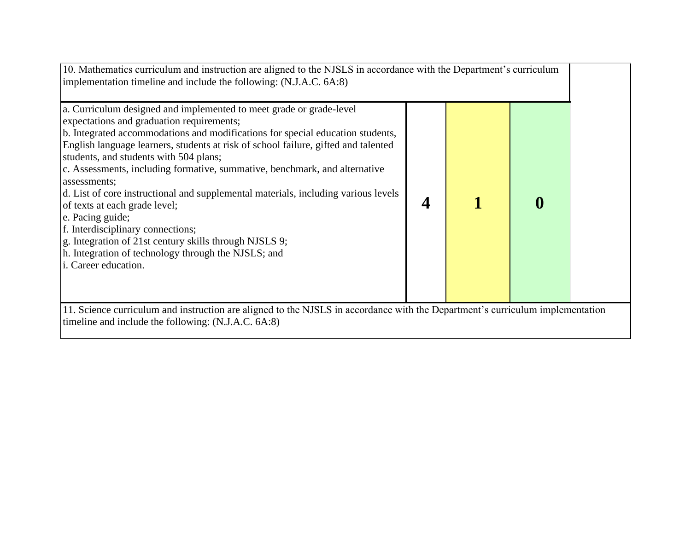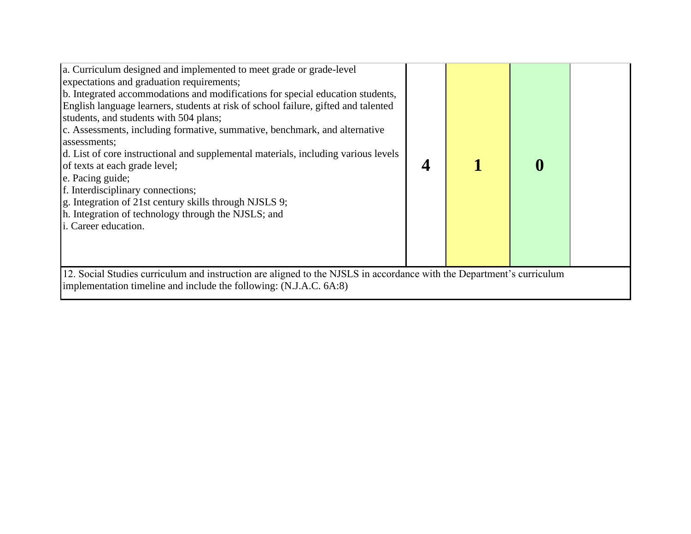| a. Curriculum designed and implemented to meet grade or grade-level<br>expectations and graduation requirements;<br>b. Integrated accommodations and modifications for special education students,<br>English language learners, students at risk of school failure, gifted and talented<br>students, and students with 504 plans;<br>c. Assessments, including formative, summative, benchmark, and alternative<br>assessments;<br>d. List of core instructional and supplemental materials, including various levels<br>of texts at each grade level;<br>e. Pacing guide;<br>f. Interdisciplinary connections;<br>g. Integration of 21st century skills through NJSLS 9;<br>h. Integration of technology through the NJSLS; and<br>i. Career education. |  |  |  |  |  |
|-----------------------------------------------------------------------------------------------------------------------------------------------------------------------------------------------------------------------------------------------------------------------------------------------------------------------------------------------------------------------------------------------------------------------------------------------------------------------------------------------------------------------------------------------------------------------------------------------------------------------------------------------------------------------------------------------------------------------------------------------------------|--|--|--|--|--|
| 12. Social Studies curriculum and instruction are aligned to the NJSLS in accordance with the Department's curriculum<br>implementation timeline and include the following: (N.J.A.C. 6A:8)                                                                                                                                                                                                                                                                                                                                                                                                                                                                                                                                                               |  |  |  |  |  |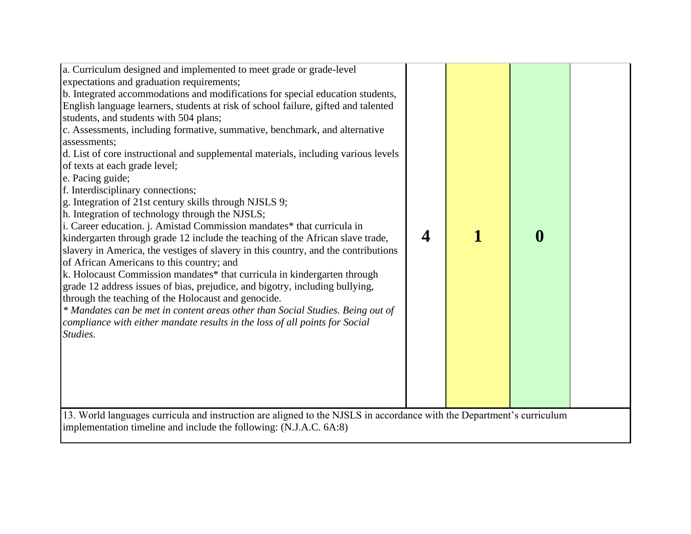| a. Curriculum designed and implemented to meet grade or grade-level<br>expectations and graduation requirements;<br>b. Integrated accommodations and modifications for special education students,<br>English language learners, students at risk of school failure, gifted and talented<br>students, and students with 504 plans;<br>c. Assessments, including formative, summative, benchmark, and alternative<br>assessments;<br>d. List of core instructional and supplemental materials, including various levels<br>of texts at each grade level;<br>e. Pacing guide;<br>f. Interdisciplinary connections;<br>g. Integration of 21st century skills through NJSLS 9;<br>h. Integration of technology through the NJSLS;<br>i. Career education. j. Amistad Commission mandates* that curricula in<br>kindergarten through grade 12 include the teaching of the African slave trade,<br>slavery in America, the vestiges of slavery in this country, and the contributions<br>of African Americans to this country; and<br>k. Holocaust Commission mandates* that curricula in kindergarten through<br>grade 12 address issues of bias, prejudice, and bigotry, including bullying,<br>through the teaching of the Holocaust and genocide.<br>* Mandates can be met in content areas other than Social Studies. Being out of<br>compliance with either mandate results in the loss of all points for Social<br>Studies.<br>13. World languages curricula and instruction are aligned to the NJSLS in accordance with the Department's curriculum | 4 | $\boldsymbol{0}$ |  |
|-------------------------------------------------------------------------------------------------------------------------------------------------------------------------------------------------------------------------------------------------------------------------------------------------------------------------------------------------------------------------------------------------------------------------------------------------------------------------------------------------------------------------------------------------------------------------------------------------------------------------------------------------------------------------------------------------------------------------------------------------------------------------------------------------------------------------------------------------------------------------------------------------------------------------------------------------------------------------------------------------------------------------------------------------------------------------------------------------------------------------------------------------------------------------------------------------------------------------------------------------------------------------------------------------------------------------------------------------------------------------------------------------------------------------------------------------------------------------------------------------------------------------------------------------------|---|------------------|--|
| implementation timeline and include the following: (N.J.A.C. 6A:8)                                                                                                                                                                                                                                                                                                                                                                                                                                                                                                                                                                                                                                                                                                                                                                                                                                                                                                                                                                                                                                                                                                                                                                                                                                                                                                                                                                                                                                                                                    |   |                  |  |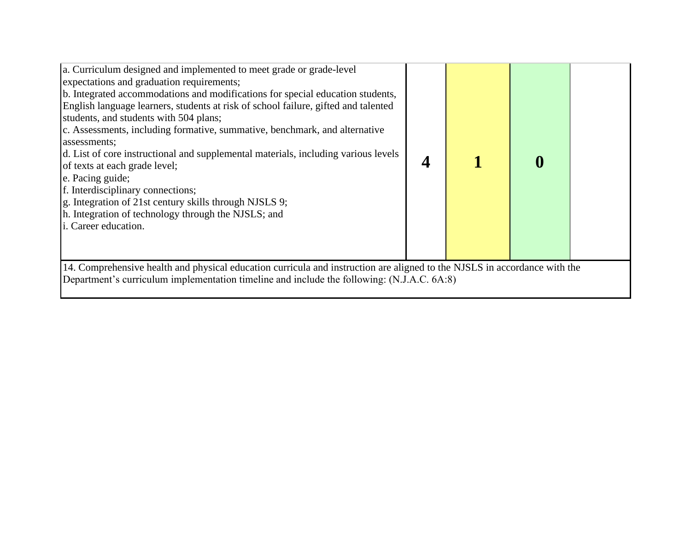| a. Curriculum designed and implemented to meet grade or grade-level<br>expectations and graduation requirements;<br>b. Integrated accommodations and modifications for special education students,<br>English language learners, students at risk of school failure, gifted and talented<br>students, and students with 504 plans;<br>c. Assessments, including formative, summative, benchmark, and alternative<br>assessments;<br>d. List of core instructional and supplemental materials, including various levels<br>of texts at each grade level;<br>e. Pacing guide;<br>f. Interdisciplinary connections;<br>g. Integration of 21st century skills through NJSLS 9;<br>h. Integration of technology through the NJSLS; and<br>i. Career education. |  |  |  |  |  |
|-----------------------------------------------------------------------------------------------------------------------------------------------------------------------------------------------------------------------------------------------------------------------------------------------------------------------------------------------------------------------------------------------------------------------------------------------------------------------------------------------------------------------------------------------------------------------------------------------------------------------------------------------------------------------------------------------------------------------------------------------------------|--|--|--|--|--|
| 14. Comprehensive health and physical education curricula and instruction are aligned to the NJSLS in accordance with the<br>Department's curriculum implementation timeline and include the following: (N.J.A.C. 6A:8)                                                                                                                                                                                                                                                                                                                                                                                                                                                                                                                                   |  |  |  |  |  |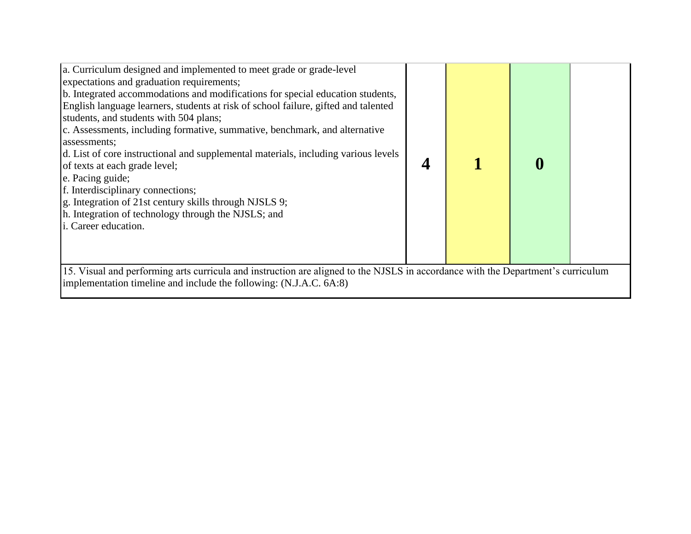| a. Curriculum designed and implemented to meet grade or grade-level<br>expectations and graduation requirements;<br>b. Integrated accommodations and modifications for special education students,<br>English language learners, students at risk of school failure, gifted and talented<br>students, and students with 504 plans;<br>c. Assessments, including formative, summative, benchmark, and alternative<br>assessments;<br>d. List of core instructional and supplemental materials, including various levels<br>of texts at each grade level;<br>e. Pacing guide;<br>f. Interdisciplinary connections;<br>g. Integration of 21st century skills through NJSLS 9;<br>h. Integration of technology through the NJSLS; and<br>i. Career education. |  |  |  |  |  |  |
|-----------------------------------------------------------------------------------------------------------------------------------------------------------------------------------------------------------------------------------------------------------------------------------------------------------------------------------------------------------------------------------------------------------------------------------------------------------------------------------------------------------------------------------------------------------------------------------------------------------------------------------------------------------------------------------------------------------------------------------------------------------|--|--|--|--|--|--|
| 15. Visual and performing arts curricula and instruction are aligned to the NJSLS in accordance with the Department's curriculum<br>implementation timeline and include the following: (N.J.A.C. 6A:8)                                                                                                                                                                                                                                                                                                                                                                                                                                                                                                                                                    |  |  |  |  |  |  |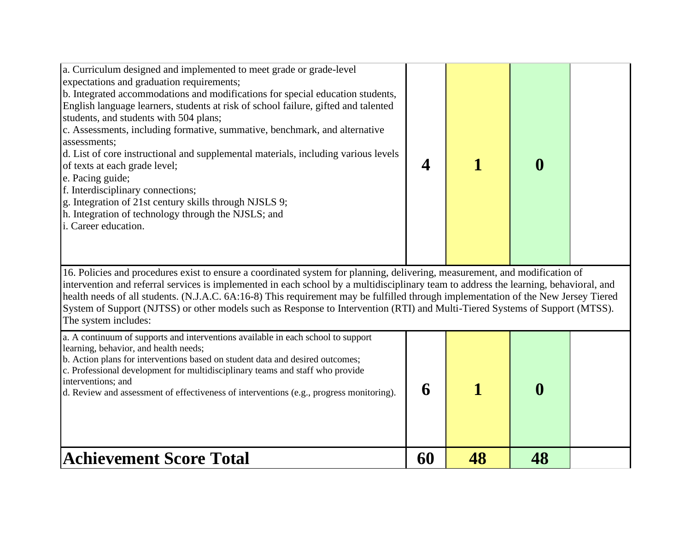| a. Curriculum designed and implemented to meet grade or grade-level<br>expectations and graduation requirements;<br>b. Integrated accommodations and modifications for special education students,<br>English language learners, students at risk of school failure, gifted and talented<br>students, and students with 504 plans;<br>c. Assessments, including formative, summative, benchmark, and alternative<br>assessments;<br>d. List of core instructional and supplemental materials, including various levels<br>of texts at each grade level;<br>e. Pacing guide;<br>f. Interdisciplinary connections;<br>g. Integration of 21st century skills through NJSLS 9;<br>h. Integration of technology through the NJSLS; and<br>i. Career education. | 4  |    | $\bf{0}$         |  |  |  |
|-----------------------------------------------------------------------------------------------------------------------------------------------------------------------------------------------------------------------------------------------------------------------------------------------------------------------------------------------------------------------------------------------------------------------------------------------------------------------------------------------------------------------------------------------------------------------------------------------------------------------------------------------------------------------------------------------------------------------------------------------------------|----|----|------------------|--|--|--|
| 16. Policies and procedures exist to ensure a coordinated system for planning, delivering, measurement, and modification of<br>intervention and referral services is implemented in each school by a multidisciplinary team to address the learning, behavioral, and<br>health needs of all students. (N.J.A.C. 6A:16-8) This requirement may be fulfilled through implementation of the New Jersey Tiered<br>System of Support (NJTSS) or other models such as Response to Intervention (RTI) and Multi-Tiered Systems of Support (MTSS).<br>The system includes:                                                                                                                                                                                        |    |    |                  |  |  |  |
| a. A continuum of supports and interventions available in each school to support<br>learning, behavior, and health needs;<br>b. Action plans for interventions based on student data and desired outcomes;<br>c. Professional development for multidisciplinary teams and staff who provide<br>interventions; and<br>d. Review and assessment of effectiveness of interventions (e.g., progress monitoring).                                                                                                                                                                                                                                                                                                                                              | 6  |    | $\boldsymbol{0}$ |  |  |  |
| <b>Achievement Score Total</b>                                                                                                                                                                                                                                                                                                                                                                                                                                                                                                                                                                                                                                                                                                                            | 60 | 48 | 48               |  |  |  |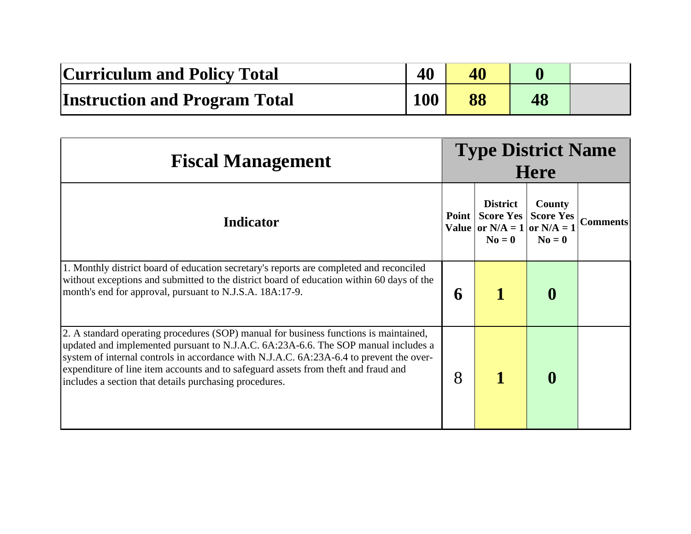| <b>Curriculum and Policy Total</b>   | 40         | 40 |    |  |
|--------------------------------------|------------|----|----|--|
| <b>Instruction and Program Total</b> | <b>100</b> | 88 | 48 |  |

| <b>Fiscal Management</b>                                                                                                                                                                                                                                                                                                                                                                                               | <b>Type District Name</b><br><b>Here</b> |                                                                                   |                                                                 |                 |
|------------------------------------------------------------------------------------------------------------------------------------------------------------------------------------------------------------------------------------------------------------------------------------------------------------------------------------------------------------------------------------------------------------------------|------------------------------------------|-----------------------------------------------------------------------------------|-----------------------------------------------------------------|-----------------|
| <b>Indicator</b>                                                                                                                                                                                                                                                                                                                                                                                                       | Point                                    | <b>District</b><br><b>Score Yes</b><br>Value or $N/A = 1$ or $N/A = 1$<br>$N_0=0$ | <b>County</b><br><b>Score Yes</b><br>$N\mathbf{o} = \mathbf{0}$ | <b>Comments</b> |
| 1. Monthly district board of education secretary's reports are completed and reconciled<br>without exceptions and submitted to the district board of education within 60 days of the<br>month's end for approval, pursuant to N.J.S.A. 18A:17-9.                                                                                                                                                                       | 6                                        |                                                                                   | $\bf{0}$                                                        |                 |
| 2. A standard operating procedures (SOP) manual for business functions is maintained,<br>updated and implemented pursuant to N.J.A.C. 6A:23A-6.6. The SOP manual includes a<br>system of internal controls in accordance with N.J.A.C. 6A:23A-6.4 to prevent the over-<br>expenditure of line item accounts and to safeguard assets from theft and fraud and<br>includes a section that details purchasing procedures. | 8                                        |                                                                                   | $\bf{0}$                                                        |                 |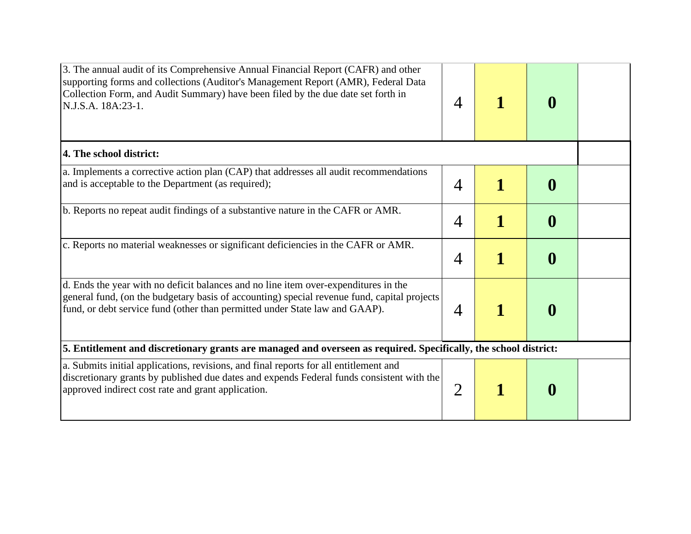| 3. The annual audit of its Comprehensive Annual Financial Report (CAFR) and other<br>supporting forms and collections (Auditor's Management Report (AMR), Federal Data<br>Collection Form, and Audit Summary) have been filed by the due date set forth in<br>N.J.S.A. 18A:23-1. | 4              |   | $\boldsymbol{0}$ |  |
|----------------------------------------------------------------------------------------------------------------------------------------------------------------------------------------------------------------------------------------------------------------------------------|----------------|---|------------------|--|
| 4. The school district:                                                                                                                                                                                                                                                          |                |   |                  |  |
| a. Implements a corrective action plan (CAP) that addresses all audit recommendations<br>and is acceptable to the Department (as required);                                                                                                                                      | $\overline{4}$ |   | $\boldsymbol{0}$ |  |
| b. Reports no repeat audit findings of a substantive nature in the CAFR or AMR.                                                                                                                                                                                                  | $\overline{4}$ |   | $\boldsymbol{0}$ |  |
| c. Reports no material weaknesses or significant deficiencies in the CAFR or AMR.                                                                                                                                                                                                | $\overline{4}$ |   | $\boldsymbol{0}$ |  |
| d. Ends the year with no deficit balances and no line item over-expenditures in the<br>general fund, (on the budgetary basis of accounting) special revenue fund, capital projects<br>fund, or debt service fund (other than permitted under State law and GAAP).                | $\overline{4}$ | 1 | $\boldsymbol{0}$ |  |
| 5. Entitlement and discretionary grants are managed and overseen as required. Specifically, the school district:                                                                                                                                                                 |                |   |                  |  |
| a. Submits initial applications, revisions, and final reports for all entitlement and<br>discretionary grants by published due dates and expends Federal funds consistent with the<br>approved indirect cost rate and grant application.                                         | $\overline{2}$ |   | $\bf{0}$         |  |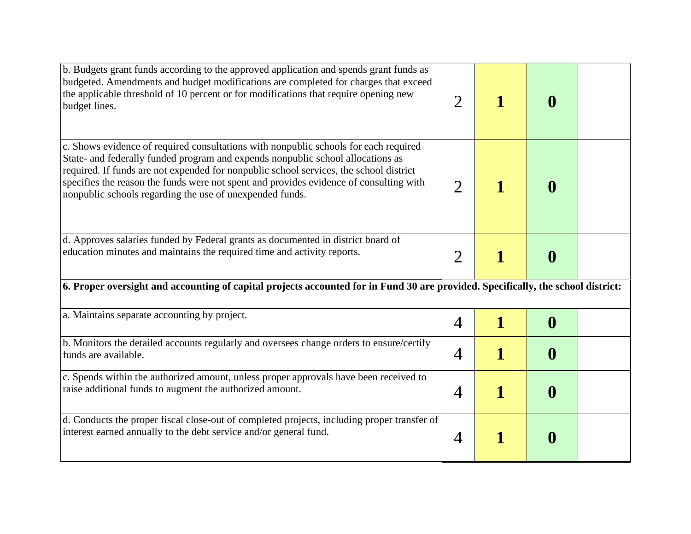| b. Budgets grant funds according to the approved application and spends grant funds as<br>budgeted. Amendments and budget modifications are completed for charges that exceed<br>the applicable threshold of 10 percent or for modifications that require opening new<br>budget lines.                                                                                                                                  | $\overline{2}$ |   | $\boldsymbol{0}$ |  |
|-------------------------------------------------------------------------------------------------------------------------------------------------------------------------------------------------------------------------------------------------------------------------------------------------------------------------------------------------------------------------------------------------------------------------|----------------|---|------------------|--|
| c. Shows evidence of required consultations with nonpublic schools for each required<br>State- and federally funded program and expends nonpublic school allocations as<br>required. If funds are not expended for nonpublic school services, the school district<br>specifies the reason the funds were not spent and provides evidence of consulting with<br>nonpublic schools regarding the use of unexpended funds. | $\overline{2}$ |   | $\boldsymbol{0}$ |  |
| d. Approves salaries funded by Federal grants as documented in district board of<br>education minutes and maintains the required time and activity reports.                                                                                                                                                                                                                                                             | $\overline{2}$ | 1 | $\boldsymbol{0}$ |  |
| 6. Proper oversight and accounting of capital projects accounted for in Fund 30 are provided. Specifically, the school district:                                                                                                                                                                                                                                                                                        |                |   |                  |  |
| a. Maintains separate accounting by project.                                                                                                                                                                                                                                                                                                                                                                            | 4              | 1 | $\boldsymbol{0}$ |  |
| b. Monitors the detailed accounts regularly and oversees change orders to ensure/certify<br>funds are available.                                                                                                                                                                                                                                                                                                        | $\overline{4}$ | 1 | $\boldsymbol{0}$ |  |
| c. Spends within the authorized amount, unless proper approvals have been received to<br>raise additional funds to augment the authorized amount.                                                                                                                                                                                                                                                                       | $\overline{4}$ | 1 | $\boldsymbol{0}$ |  |
| d. Conducts the proper fiscal close-out of completed projects, including proper transfer of<br>interest earned annually to the debt service and/or general fund.                                                                                                                                                                                                                                                        | 4              | 1 | $\boldsymbol{0}$ |  |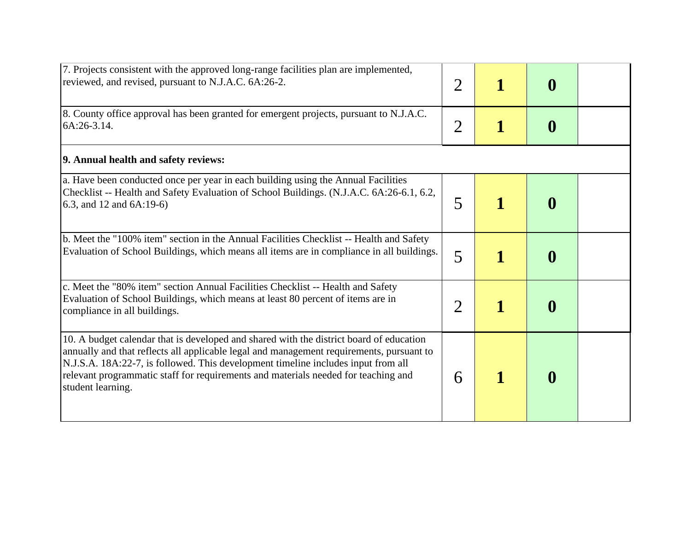| 7. Projects consistent with the approved long-range facilities plan are implemented,<br>reviewed, and revised, pursuant to N.J.A.C. 6A:26-2.                                                                                                                                                                                                                                        | $\overline{2}$ | $\bf{0}$         |  |
|-------------------------------------------------------------------------------------------------------------------------------------------------------------------------------------------------------------------------------------------------------------------------------------------------------------------------------------------------------------------------------------|----------------|------------------|--|
| 8. County office approval has been granted for emergent projects, pursuant to N.J.A.C.<br>6A:26-3.14.                                                                                                                                                                                                                                                                               | $\overline{2}$ | $\boldsymbol{0}$ |  |
| 9. Annual health and safety reviews:                                                                                                                                                                                                                                                                                                                                                |                |                  |  |
| a. Have been conducted once per year in each building using the Annual Facilities<br>Checklist -- Health and Safety Evaluation of School Buildings. (N.J.A.C. 6A:26-6.1, 6.2,<br>6.3, and 12 and 6A:19-6)                                                                                                                                                                           | 5              | $\boldsymbol{0}$ |  |
| b. Meet the "100% item" section in the Annual Facilities Checklist -- Health and Safety<br>Evaluation of School Buildings, which means all items are in compliance in all buildings.                                                                                                                                                                                                | 5              | $\boldsymbol{0}$ |  |
| c. Meet the "80% item" section Annual Facilities Checklist -- Health and Safety<br>Evaluation of School Buildings, which means at least 80 percent of items are in<br>compliance in all buildings.                                                                                                                                                                                  | $\overline{2}$ | $\boldsymbol{0}$ |  |
| 10. A budget calendar that is developed and shared with the district board of education<br>annually and that reflects all applicable legal and management requirements, pursuant to<br>N.J.S.A. 18A:22-7, is followed. This development timeline includes input from all<br>relevant programmatic staff for requirements and materials needed for teaching and<br>student learning. | 6              | $\boldsymbol{0}$ |  |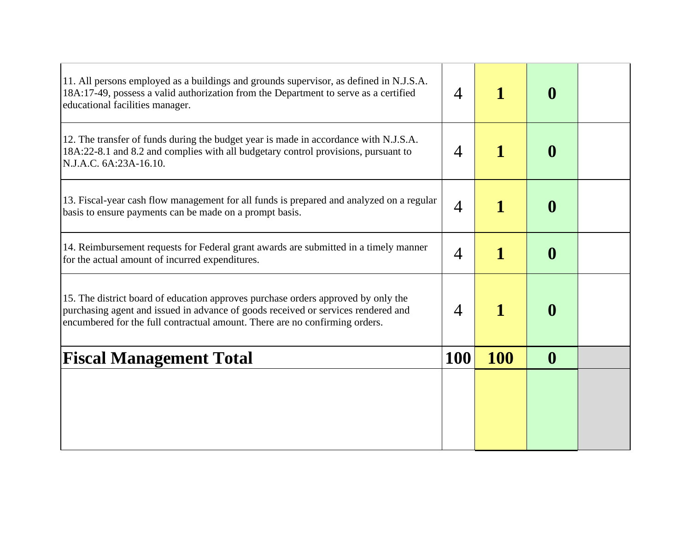| 11. All persons employed as a buildings and grounds supervisor, as defined in N.J.S.A.<br>18A:17-49, possess a valid authorization from the Department to serve as a certified<br>educational facilities manager.                                     | 4              |             | $\bf{0}$         |  |
|-------------------------------------------------------------------------------------------------------------------------------------------------------------------------------------------------------------------------------------------------------|----------------|-------------|------------------|--|
| 12. The transfer of funds during the budget year is made in accordance with N.J.S.A.<br>18A:22-8.1 and 8.2 and complies with all budgetary control provisions, pursuant to<br>N.J.A.C. 6A:23A-16.10.                                                  | $\overline{4}$ |             | $\boldsymbol{0}$ |  |
| 13. Fiscal-year cash flow management for all funds is prepared and analyzed on a regular<br>basis to ensure payments can be made on a prompt basis.                                                                                                   | 4              | 1           | $\boldsymbol{0}$ |  |
| 14. Reimbursement requests for Federal grant awards are submitted in a timely manner<br>for the actual amount of incurred expenditures.                                                                                                               | 4              | $\mathbf 1$ | $\boldsymbol{0}$ |  |
| 15. The district board of education approves purchase orders approved by only the<br>purchasing agent and issued in advance of goods received or services rendered and<br>encumbered for the full contractual amount. There are no confirming orders. | 4              |             | $\boldsymbol{0}$ |  |
| <b>Fiscal Management Total</b>                                                                                                                                                                                                                        | 100            | <b>100</b>  | $\boldsymbol{0}$ |  |
|                                                                                                                                                                                                                                                       |                |             |                  |  |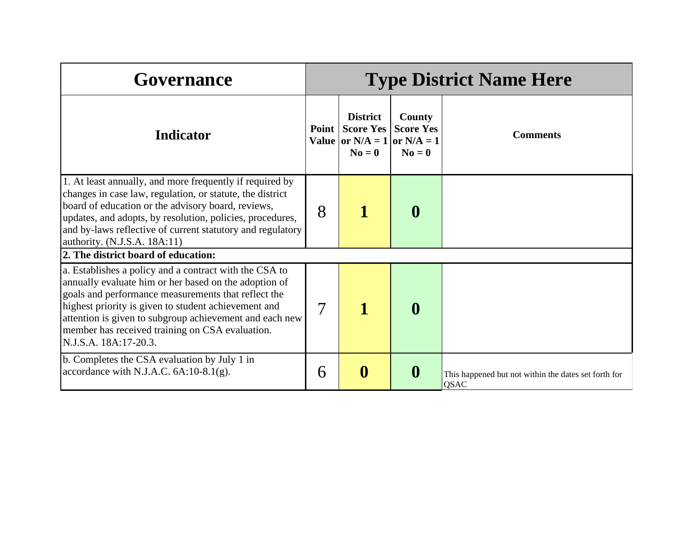| Governance                                                                                                                                                                                                                                                                                                                                                            | <b>Type District Name Here</b> |                                                                                     |                                        |                                                              |  |
|-----------------------------------------------------------------------------------------------------------------------------------------------------------------------------------------------------------------------------------------------------------------------------------------------------------------------------------------------------------------------|--------------------------------|-------------------------------------------------------------------------------------|----------------------------------------|--------------------------------------------------------------|--|
| <b>Indicator</b>                                                                                                                                                                                                                                                                                                                                                      | Point                          | <b>District</b><br><b>Score Yes</b><br>Value or $N/A = 1$ or $N/A = 1$<br>$N_0 = 0$ | County<br><b>Score Yes</b><br>$N0 = 0$ | <b>Comments</b>                                              |  |
| 1. At least annually, and more frequently if required by<br>changes in case law, regulation, or statute, the district<br>board of education or the advisory board, reviews,<br>updates, and adopts, by resolution, policies, procedures,<br>and by-laws reflective of current statutory and regulatory<br>authority. (N.J.S.A. 18A:11)                                | 8                              |                                                                                     | $\boldsymbol{0}$                       |                                                              |  |
| 2. The district board of education:                                                                                                                                                                                                                                                                                                                                   |                                |                                                                                     |                                        |                                                              |  |
| a. Establishes a policy and a contract with the CSA to<br>annually evaluate him or her based on the adoption of<br>goals and performance measurements that reflect the<br>highest priority is given to student achievement and<br>attention is given to subgroup achievement and each new<br>member has received training on CSA evaluation.<br>N.J.S.A. 18A:17-20.3. | 7                              |                                                                                     | $\boldsymbol{0}$                       |                                                              |  |
| b. Completes the CSA evaluation by July 1 in<br>accordance with N.J.A.C. $6A:10-8.1(g)$ .                                                                                                                                                                                                                                                                             | 6                              | $\boldsymbol{0}$                                                                    | $\boldsymbol{0}$                       | This happened but not within the dates set forth for<br>QSAC |  |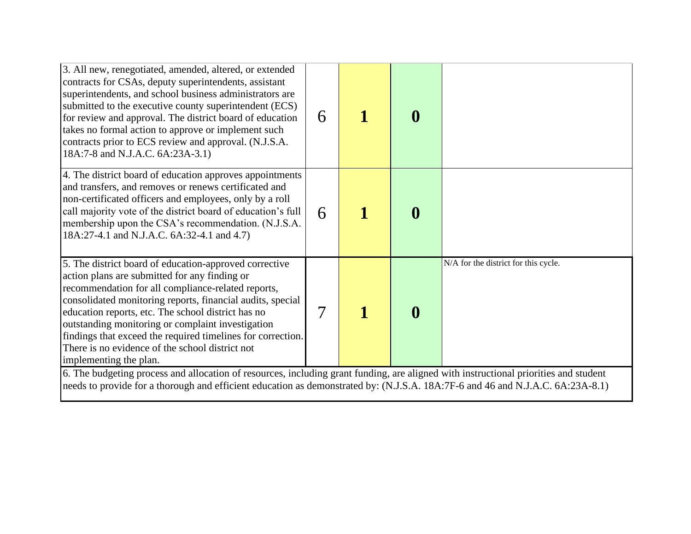| 3. All new, renegotiated, amended, altered, or extended<br>contracts for CSAs, deputy superintendents, assistant<br>superintendents, and school business administrators are<br>submitted to the executive county superintendent (ECS)<br>for review and approval. The district board of education<br>takes no formal action to approve or implement such<br>contracts prior to ECS review and approval. (N.J.S.A.<br>18A:7-8 and N.J.A.C. 6A:23A-3.1)                              | 6 |  | $\boldsymbol{0}$ |                                      |  |  |  |
|------------------------------------------------------------------------------------------------------------------------------------------------------------------------------------------------------------------------------------------------------------------------------------------------------------------------------------------------------------------------------------------------------------------------------------------------------------------------------------|---|--|------------------|--------------------------------------|--|--|--|
| 4. The district board of education approves appointments<br>and transfers, and removes or renews certificated and<br>non-certificated officers and employees, only by a roll<br>call majority vote of the district board of education's full<br>membership upon the CSA's recommendation. (N.J.S.A.<br>18A:27-4.1 and N.J.A.C. 6A:32-4.1 and 4.7)                                                                                                                                  | 6 |  | $\boldsymbol{0}$ |                                      |  |  |  |
| 5. The district board of education-approved corrective<br>action plans are submitted for any finding or<br>recommendation for all compliance-related reports,<br>consolidated monitoring reports, financial audits, special<br>education reports, etc. The school district has no<br>outstanding monitoring or complaint investigation<br>findings that exceed the required timelines for correction.<br>There is no evidence of the school district not<br>implementing the plan. | 7 |  | $\boldsymbol{0}$ | N/A for the district for this cycle. |  |  |  |
| 6. The budgeting process and allocation of resources, including grant funding, are aligned with instructional priorities and student<br>needs to provide for a thorough and efficient education as demonstrated by: (N.J.S.A. 18A:7F-6 and 46 and N.J.A.C. 6A:23A-8.1)                                                                                                                                                                                                             |   |  |                  |                                      |  |  |  |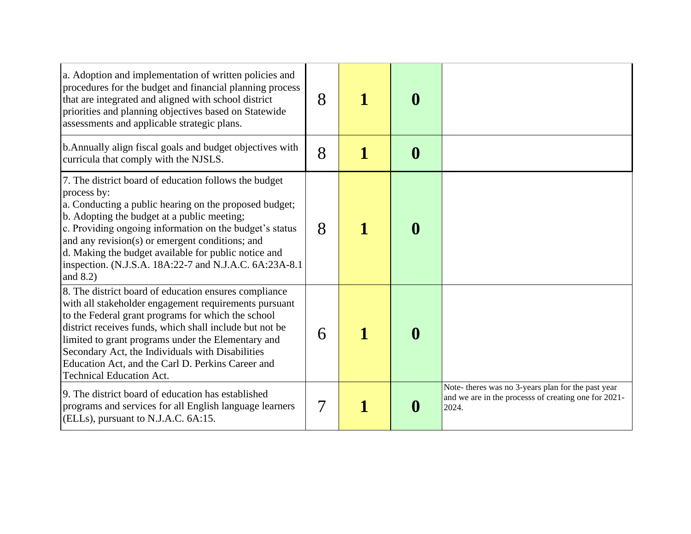| a. Adoption and implementation of written policies and<br>procedures for the budget and financial planning process<br>that are integrated and aligned with school district<br>priorities and planning objectives based on Statewide<br>assessments and applicable strategic plans.                                                                                                                                                | 8 | $\boldsymbol{0}$ |                                                                                                                     |
|-----------------------------------------------------------------------------------------------------------------------------------------------------------------------------------------------------------------------------------------------------------------------------------------------------------------------------------------------------------------------------------------------------------------------------------|---|------------------|---------------------------------------------------------------------------------------------------------------------|
| b. Annually align fiscal goals and budget objectives with<br>curricula that comply with the NJSLS.                                                                                                                                                                                                                                                                                                                                | 8 | $\boldsymbol{0}$ |                                                                                                                     |
| 7. The district board of education follows the budget<br>process by:<br>a. Conducting a public hearing on the proposed budget;<br>b. Adopting the budget at a public meeting;<br>c. Providing ongoing information on the budget's status<br>and any revision(s) or emergent conditions; and<br>d. Making the budget available for public notice and<br>inspection. (N.J.S.A. 18A:22-7 and N.J.A.C. 6A:23A-8.1<br>and $8.2$ )      | 8 | $\boldsymbol{0}$ |                                                                                                                     |
| 8. The district board of education ensures compliance<br>with all stakeholder engagement requirements pursuant<br>to the Federal grant programs for which the school<br>district receives funds, which shall include but not be<br>limited to grant programs under the Elementary and<br>Secondary Act, the Individuals with Disabilities<br>Education Act, and the Carl D. Perkins Career and<br><b>Technical Education Act.</b> | 6 | $\boldsymbol{0}$ |                                                                                                                     |
| 9. The district board of education has established<br>programs and services for all English language learners<br>(ELLs), pursuant to N.J.A.C. 6A:15.                                                                                                                                                                                                                                                                              | 7 | $\bf{0}$         | Note- theres was no 3-years plan for the past year<br>and we are in the processs of creating one for 2021-<br>2024. |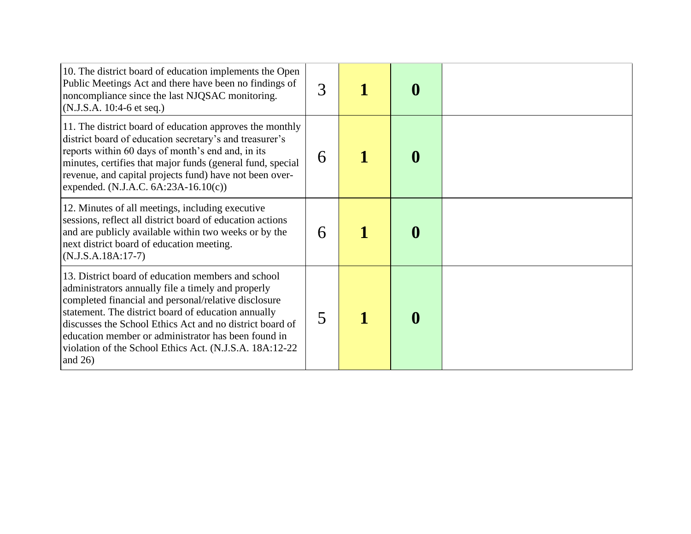| 10. The district board of education implements the Open<br>Public Meetings Act and there have been no findings of<br>noncompliance since the last NJQSAC monitoring.<br>(N.J.S.A. 10:4-6 et seq.)                                                                                                                                                                                                                    | 3 | $\bf{0}$         |  |
|----------------------------------------------------------------------------------------------------------------------------------------------------------------------------------------------------------------------------------------------------------------------------------------------------------------------------------------------------------------------------------------------------------------------|---|------------------|--|
| 11. The district board of education approves the monthly<br>district board of education secretary's and treasurer's<br>reports within 60 days of month's end and, in its<br>minutes, certifies that major funds (general fund, special<br>revenue, and capital projects fund) have not been over-<br>expended. (N.J.A.C. $6A:23A-16.10(c)$ )                                                                         | 6 | $\boldsymbol{0}$ |  |
| 12. Minutes of all meetings, including executive<br>sessions, reflect all district board of education actions<br>and are publicly available within two weeks or by the<br>next district board of education meeting.<br>$(N.J.S.A.18A:17-7)$                                                                                                                                                                          | 6 | $\bf{0}$         |  |
| 13. District board of education members and school<br>administrators annually file a timely and properly<br>completed financial and personal/relative disclosure<br>statement. The district board of education annually<br>discusses the School Ethics Act and no district board of<br>education member or administrator has been found in<br>violation of the School Ethics Act. (N.J.S.A. 18A:12-22)<br>and $26$ ) | 5 | $\boldsymbol{0}$ |  |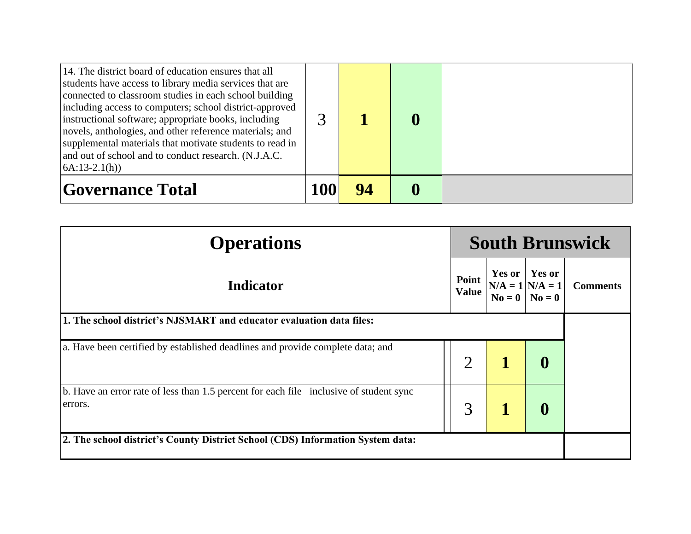| 14. The district board of education ensures that all<br>students have access to library media services that are<br>connected to classroom studies in each school building<br>including access to computers; school district-approved<br>instructional software; appropriate books, including<br>novels, anthologies, and other reference materials; and<br>supplemental materials that motivate students to read in<br>and out of school and to conduct research. (N.J.A.C.<br>$(A:13-2.1(h))$ | 3   |    |  |
|------------------------------------------------------------------------------------------------------------------------------------------------------------------------------------------------------------------------------------------------------------------------------------------------------------------------------------------------------------------------------------------------------------------------------------------------------------------------------------------------|-----|----|--|
| <b>Governance Total</b>                                                                                                                                                                                                                                                                                                                                                                                                                                                                        | 100 | 94 |  |

| <b>Operations</b>                                                                                  | <b>South Brunswick</b> |                       |                                                            |                 |  |
|----------------------------------------------------------------------------------------------------|------------------------|-----------------------|------------------------------------------------------------|-----------------|--|
| <b>Indicator</b>                                                                                   |                        | Point<br><b>Value</b> | Yes or<br>$N/A = 1$<br>$N/A = 1$<br>$N_0 = 0$<br>$N_0 = 0$ | <b>Comments</b> |  |
| 1. The school district's NJSMART and educator evaluation data files:                               |                        |                       |                                                            |                 |  |
| a. Have been certified by established deadlines and provide complete data; and                     | $\overline{2}$         |                       | $\bf{0}$                                                   |                 |  |
| b. Have an error rate of less than 1.5 percent for each file –inclusive of student sync<br>errors. | 3                      |                       | 0                                                          |                 |  |
| 2. The school district's County District School (CDS) Information System data:                     |                        |                       |                                                            |                 |  |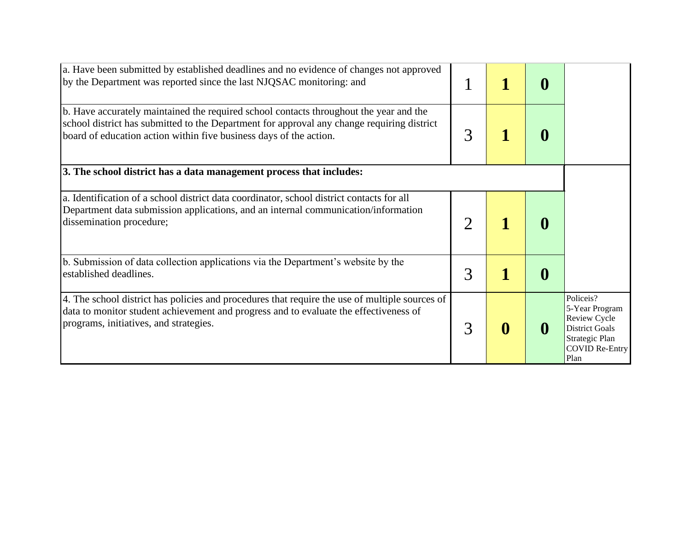| a. Have been submitted by established deadlines and no evidence of changes not approved<br>by the Department was reported since the last NJQSAC monitoring: and                                                                                            |   | $\bf{0}$         |                                                                                                                         |
|------------------------------------------------------------------------------------------------------------------------------------------------------------------------------------------------------------------------------------------------------------|---|------------------|-------------------------------------------------------------------------------------------------------------------------|
| b. Have accurately maintained the required school contacts throughout the year and the<br>school district has submitted to the Department for approval any change requiring district<br>board of education action within five business days of the action. | 3 | $\bf{0}$         |                                                                                                                         |
| 3. The school district has a data management process that includes:                                                                                                                                                                                        |   |                  |                                                                                                                         |
| a. Identification of a school district data coordinator, school district contacts for all<br>Department data submission applications, and an internal communication/information<br>dissemination procedure;                                                |   | $\bf{0}$         |                                                                                                                         |
| b. Submission of data collection applications via the Department's website by the<br>established deadlines.                                                                                                                                                | 3 | $\boldsymbol{0}$ |                                                                                                                         |
| 4. The school district has policies and procedures that require the use of multiple sources of<br>data to monitor student achievement and progress and to evaluate the effectiveness of<br>programs, initiatives, and strategies.                          | 3 | $\mathbf 0$      | Policeis?<br>5-Year Program<br>Review Cycle<br><b>District Goals</b><br>Strategic Plan<br><b>COVID Re-Entry</b><br>Plan |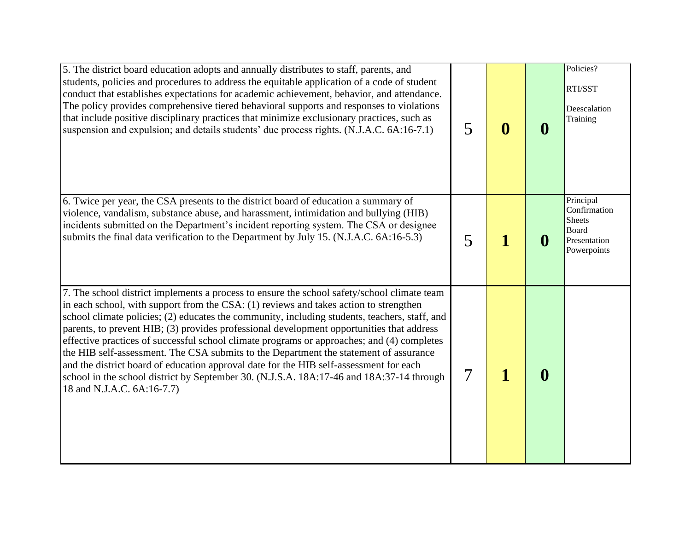| 5. The district board education adopts and annually distributes to staff, parents, and<br>students, policies and procedures to address the equitable application of a code of student<br>conduct that establishes expectations for academic achievement, behavior, and attendance.<br>The policy provides comprehensive tiered behavioral supports and responses to violations<br>that include positive disciplinary practices that minimize exclusionary practices, such as<br>suspension and expulsion; and details students' due process rights. (N.J.A.C. 6A:16-7.1)                                                                                                                                                                                                                      | 5 | $\bf{0}$ | 0 | Policies?<br>RTI/SST<br>Deescalation<br>Training                                   |
|-----------------------------------------------------------------------------------------------------------------------------------------------------------------------------------------------------------------------------------------------------------------------------------------------------------------------------------------------------------------------------------------------------------------------------------------------------------------------------------------------------------------------------------------------------------------------------------------------------------------------------------------------------------------------------------------------------------------------------------------------------------------------------------------------|---|----------|---|------------------------------------------------------------------------------------|
| 6. Twice per year, the CSA presents to the district board of education a summary of<br>violence, vandalism, substance abuse, and harassment, intimidation and bullying (HIB)<br>incidents submitted on the Department's incident reporting system. The CSA or designee<br>submits the final data verification to the Department by July 15. (N.J.A.C. 6A:16-5.3)                                                                                                                                                                                                                                                                                                                                                                                                                              | 5 |          |   | Principal<br>Confirmation<br><b>Sheets</b><br>Board<br>Presentation<br>Powerpoints |
| 7. The school district implements a process to ensure the school safety/school climate team<br>in each school, with support from the CSA: (1) reviews and takes action to strengthen<br>school climate policies; (2) educates the community, including students, teachers, staff, and<br>parents, to prevent HIB; (3) provides professional development opportunities that address<br>effective practices of successful school climate programs or approaches; and (4) completes<br>the HIB self-assessment. The CSA submits to the Department the statement of assurance<br>and the district board of education approval date for the HIB self-assessment for each<br>school in the school district by September 30. (N.J.S.A. 18A:17-46 and 18A:37-14 through<br>18 and N.J.A.C. 6A:16-7.7) | 7 |          | 0 |                                                                                    |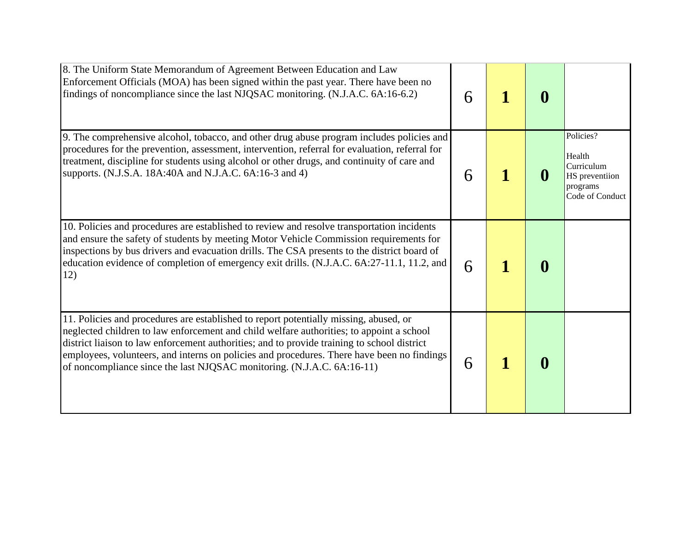| 8. The Uniform State Memorandum of Agreement Between Education and Law<br>Enforcement Officials (MOA) has been signed within the past year. There have been no<br>findings of noncompliance since the last NJQSAC monitoring. (N.J.A.C. 6A:16-6.2)                                                                                                                                                                                                       | 6 | $\bf{0}$ |                                                                                    |
|----------------------------------------------------------------------------------------------------------------------------------------------------------------------------------------------------------------------------------------------------------------------------------------------------------------------------------------------------------------------------------------------------------------------------------------------------------|---|----------|------------------------------------------------------------------------------------|
| 9. The comprehensive alcohol, tobacco, and other drug abuse program includes policies and<br>procedures for the prevention, assessment, intervention, referral for evaluation, referral for<br>treatment, discipline for students using alcohol or other drugs, and continuity of care and<br>supports. (N.J.S.A. 18A:40A and N.J.A.C. 6A:16-3 and 4)                                                                                                    | 6 | $\bf{0}$ | Policies?<br>Health<br>Curriculum<br>HS preventiion<br>programs<br>Code of Conduct |
| 10. Policies and procedures are established to review and resolve transportation incidents<br>and ensure the safety of students by meeting Motor Vehicle Commission requirements for<br>inspections by bus drivers and evacuation drills. The CSA presents to the district board of<br>education evidence of completion of emergency exit drills. (N.J.A.C. 6A:27-11.1, 11.2, and<br>12)                                                                 | 6 | $\bf{0}$ |                                                                                    |
| 11. Policies and procedures are established to report potentially missing, abused, or<br>neglected children to law enforcement and child welfare authorities; to appoint a school<br>district liaison to law enforcement authorities; and to provide training to school district<br>employees, volunteers, and interns on policies and procedures. There have been no findings<br>of noncompliance since the last NJQSAC monitoring. (N.J.A.C. 6A:16-11) | 6 | $\bf{0}$ |                                                                                    |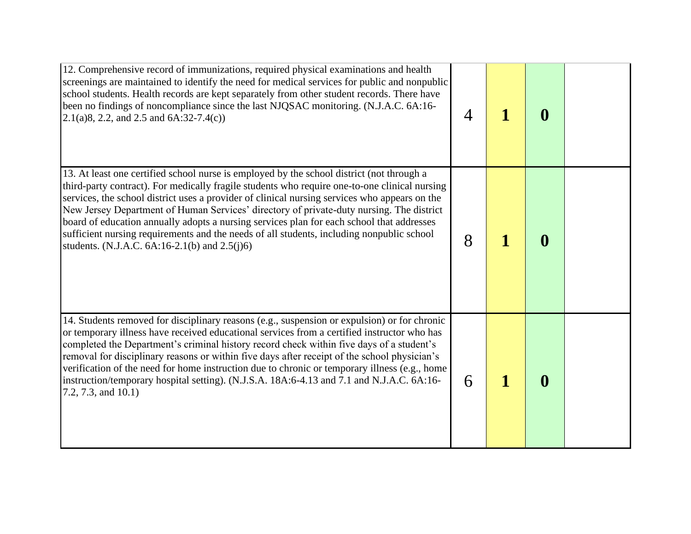| 12. Comprehensive record of immunizations, required physical examinations and health<br>screenings are maintained to identify the need for medical services for public and nonpublic<br>school students. Health records are kept separately from other student records. There have<br>been no findings of noncompliance since the last NJQSAC monitoring. (N.J.A.C. 6A:16-<br>$2.1(a)8, 2.2, and 2.5 and 6A:32-7.4(c)$                                                                                                                                                                                                                  | 4 |   | $\boldsymbol{0}$ |  |
|-----------------------------------------------------------------------------------------------------------------------------------------------------------------------------------------------------------------------------------------------------------------------------------------------------------------------------------------------------------------------------------------------------------------------------------------------------------------------------------------------------------------------------------------------------------------------------------------------------------------------------------------|---|---|------------------|--|
| 13. At least one certified school nurse is employed by the school district (not through a<br>third-party contract). For medically fragile students who require one-to-one clinical nursing<br>services, the school district uses a provider of clinical nursing services who appears on the<br>New Jersey Department of Human Services' directory of private-duty nursing. The district<br>board of education annually adopts a nursing services plan for each school that addresses<br>sufficient nursing requirements and the needs of all students, including nonpublic school<br>students. (N.J.A.C. $6A:16-2.1(b)$ and $2.5(j)6$ ) | 8 |   | $\mathbf 0$      |  |
| 14. Students removed for disciplinary reasons (e.g., suspension or expulsion) or for chronic<br>or temporary illness have received educational services from a certified instructor who has<br>completed the Department's criminal history record check within five days of a student's<br>removal for disciplinary reasons or within five days after receipt of the school physician's<br>verification of the need for home instruction due to chronic or temporary illness (e.g., home<br>instruction/temporary hospital setting). (N.J.S.A. 18A:6-4.13 and 7.1 and N.J.A.C. 6A:16-<br>(7.2, 7.3, and 10.1)                           | 6 | 1 | $\boldsymbol{0}$ |  |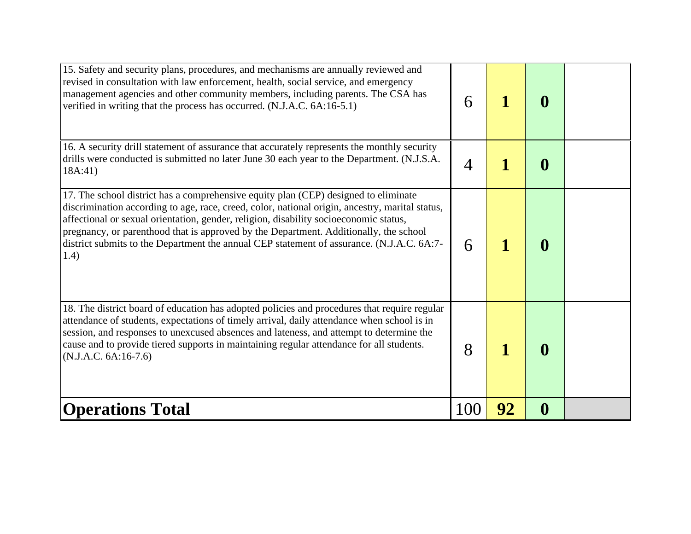| 15. Safety and security plans, procedures, and mechanisms are annually reviewed and<br>revised in consultation with law enforcement, health, social service, and emergency<br>management agencies and other community members, including parents. The CSA has<br>verified in writing that the process has occurred. (N.J.A.C. 6A:16-5.1)                                                                                                                                       | 6   |    | $\boldsymbol{0}$ |  |
|--------------------------------------------------------------------------------------------------------------------------------------------------------------------------------------------------------------------------------------------------------------------------------------------------------------------------------------------------------------------------------------------------------------------------------------------------------------------------------|-----|----|------------------|--|
| 16. A security drill statement of assurance that accurately represents the monthly security<br>drills were conducted is submitted no later June 30 each year to the Department. (N.J.S.A.<br>18A:41)                                                                                                                                                                                                                                                                           | 4   |    | $\boldsymbol{0}$ |  |
| 17. The school district has a comprehensive equity plan (CEP) designed to eliminate<br>discrimination according to age, race, creed, color, national origin, ancestry, marital status,<br>affectional or sexual orientation, gender, religion, disability socioeconomic status,<br>pregnancy, or parenthood that is approved by the Department. Additionally, the school<br>district submits to the Department the annual CEP statement of assurance. (N.J.A.C. 6A:7-<br>(1.4) | 6   |    | $\boldsymbol{0}$ |  |
| 18. The district board of education has adopted policies and procedures that require regular<br>attendance of students, expectations of timely arrival, daily attendance when school is in<br>session, and responses to unexcused absences and lateness, and attempt to determine the<br>cause and to provide tiered supports in maintaining regular attendance for all students.<br>$(N.J.A.C. 6A:16-7.6)$                                                                    | 8   |    | $\boldsymbol{0}$ |  |
| <b>Operations Total</b>                                                                                                                                                                                                                                                                                                                                                                                                                                                        | 100 | 92 | $\boldsymbol{0}$ |  |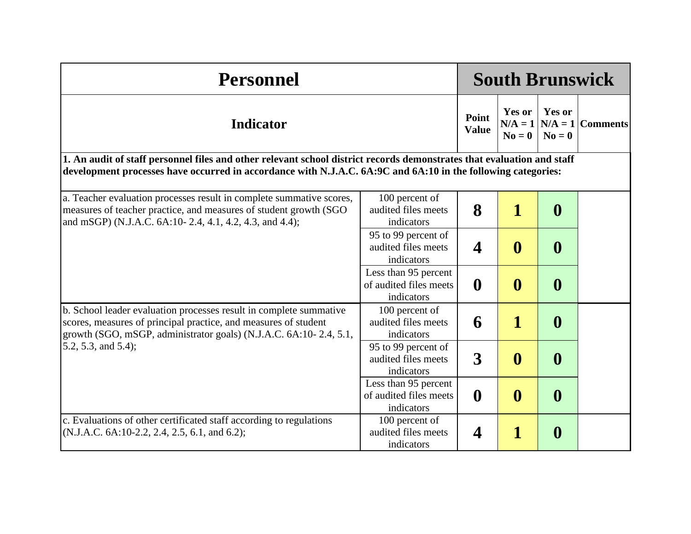| <b>Personnel</b>                                                                                                                                                                                                                       |                                                              |                       |                                        | <b>South Brunswick</b>     |                    |
|----------------------------------------------------------------------------------------------------------------------------------------------------------------------------------------------------------------------------------------|--------------------------------------------------------------|-----------------------|----------------------------------------|----------------------------|--------------------|
| <b>Indicator</b>                                                                                                                                                                                                                       |                                                              | Point<br><b>Value</b> | <b>Yes or</b><br>$N/A = 1$<br>$No = 0$ | <b>Yes or</b><br>$N_0 = 0$ | $N/A = 1$ Comments |
| 1. An audit of staff personnel files and other relevant school district records demonstrates that evaluation and staff<br>development processes have occurred in accordance with N.J.A.C. 6A:9C and 6A:10 in the following categories: |                                                              |                       |                                        |                            |                    |
| a. Teacher evaluation processes result in complete summative scores,<br>measures of teacher practice, and measures of student growth (SGO<br>and mSGP) (N.J.A.C. 6A:10-2.4, 4.1, 4.2, 4.3, and 4.4);                                   | 100 percent of<br>audited files meets<br>indicators          | 8                     | $\mathbf 1$                            | $\boldsymbol{0}$           |                    |
|                                                                                                                                                                                                                                        | 95 to 99 percent of<br>audited files meets<br>indicators     | $\boldsymbol{4}$      | $\boldsymbol{0}$                       | $\boldsymbol{0}$           |                    |
|                                                                                                                                                                                                                                        | Less than 95 percent<br>of audited files meets<br>indicators | $\boldsymbol{0}$      | $\boldsymbol{0}$                       | $\boldsymbol{0}$           |                    |
| b. School leader evaluation processes result in complete summative<br>scores, measures of principal practice, and measures of student<br>growth (SGO, mSGP, administrator goals) (N.J.A.C. 6A:10-2.4, 5.1,                             | 100 percent of<br>audited files meets<br>indicators          | 6                     | $\mathbf{1}$                           | $\boldsymbol{0}$           |                    |
| 5.2, 5.3, and 5.4);                                                                                                                                                                                                                    | 95 to 99 percent of<br>audited files meets<br>indicators     | $\mathbf{3}$          | $\boldsymbol{0}$                       | $\boldsymbol{0}$           |                    |
|                                                                                                                                                                                                                                        | Less than 95 percent<br>of audited files meets<br>indicators | $\boldsymbol{0}$      | $\boldsymbol{0}$                       | $\boldsymbol{0}$           |                    |
| c. Evaluations of other certificated staff according to regulations<br>$(N.J.A.C. 6A:10-2.2, 2.4, 2.5, 6.1, and 6.2);$                                                                                                                 | 100 percent of<br>audited files meets<br>indicators          | 4                     | 1                                      | $\boldsymbol{0}$           |                    |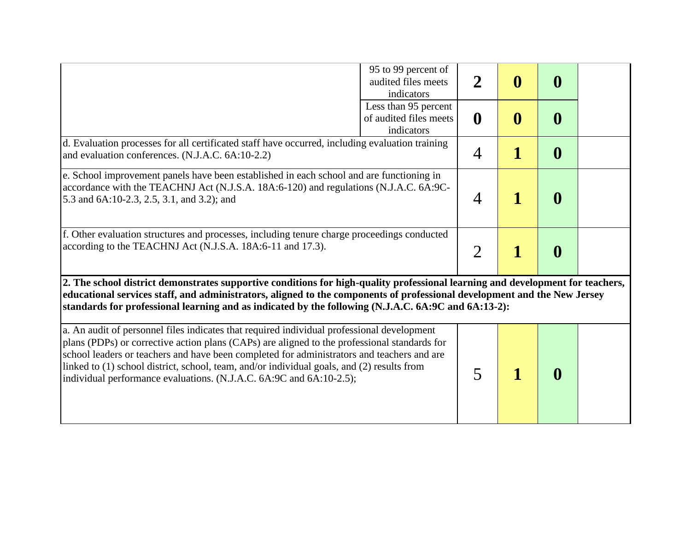|                                                                                                                                                                                                                                                                                                                                                                   | 95 to 99 percent of<br>audited files meets<br>indicators     | $\mathbf 2$    | $\boldsymbol{0}$ | $\bf{0}$         |  |
|-------------------------------------------------------------------------------------------------------------------------------------------------------------------------------------------------------------------------------------------------------------------------------------------------------------------------------------------------------------------|--------------------------------------------------------------|----------------|------------------|------------------|--|
|                                                                                                                                                                                                                                                                                                                                                                   | Less than 95 percent<br>of audited files meets<br>indicators | $\mathbf 0$    | $\boldsymbol{0}$ | $\bf{0}$         |  |
| d. Evaluation processes for all certificated staff have occurred, including evaluation training<br>and evaluation conferences. (N.J.A.C. 6A:10-2.2)                                                                                                                                                                                                               |                                                              | $\overline{4}$ |                  | $\boldsymbol{0}$ |  |
| e. School improvement panels have been established in each school and are functioning in<br>accordance with the TEACHNJ Act (N.J.S.A. 18A:6-120) and regulations (N.J.A.C. 6A:9C-<br>5.3 and 6A:10-2.3, 2.5, 3.1, and 3.2); and                                                                                                                                   |                                                              | 4              |                  | $\bf{0}$         |  |
| f. Other evaluation structures and processes, including tenure charge proceedings conducted<br>according to the TEACHNJ Act (N.J.S.A. 18A:6-11 and 17.3).                                                                                                                                                                                                         |                                                              | $\overline{2}$ | 1                | $\bf{0}$         |  |
| 2. The school district demonstrates supportive conditions for high-quality professional learning and development for teachers,<br>educational services staff, and administrators, aligned to the components of professional development and the New Jersey<br>standards for professional learning and as indicated by the following (N.J.A.C. 6A:9C and 6A:13-2): |                                                              |                |                  |                  |  |
|                                                                                                                                                                                                                                                                                                                                                                   |                                                              |                |                  |                  |  |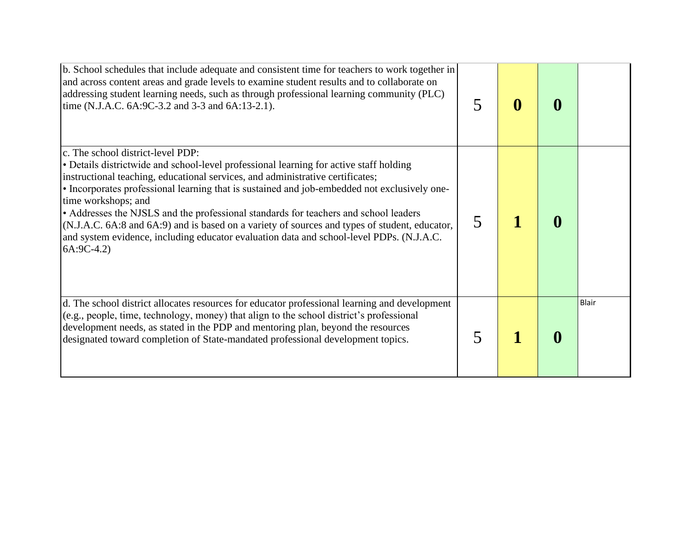| b. School schedules that include adequate and consistent time for teachers to work together in<br>and across content areas and grade levels to examine student results and to collaborate on<br>addressing student learning needs, such as through professional learning community (PLC)<br>time (N.J.A.C. 6A: 9C-3.2 and 3-3 and 6A: 13-2.1).                                                                                                                                                                                                                                                                                           |   | $\bf{0}$ | O |       |
|------------------------------------------------------------------------------------------------------------------------------------------------------------------------------------------------------------------------------------------------------------------------------------------------------------------------------------------------------------------------------------------------------------------------------------------------------------------------------------------------------------------------------------------------------------------------------------------------------------------------------------------|---|----------|---|-------|
| c. The school district-level PDP:<br>• Details districtwide and school-level professional learning for active staff holding<br>instructional teaching, educational services, and administrative certificates;<br>• Incorporates professional learning that is sustained and job-embedded not exclusively one-<br>time workshops; and<br>• Addresses the NJSLS and the professional standards for teachers and school leaders<br>(N.J.A.C. 6A:8 and 6A:9) and is based on a variety of sources and types of student, educator,<br>and system evidence, including educator evaluation data and school-level PDPs. (N.J.A.C.<br>$6A:9C-4.2$ | 5 |          |   |       |
| d. The school district allocates resources for educator professional learning and development<br>(e.g., people, time, technology, money) that align to the school district's professional<br>development needs, as stated in the PDP and mentoring plan, beyond the resources<br>designated toward completion of State-mandated professional development topics.                                                                                                                                                                                                                                                                         |   |          |   | Blair |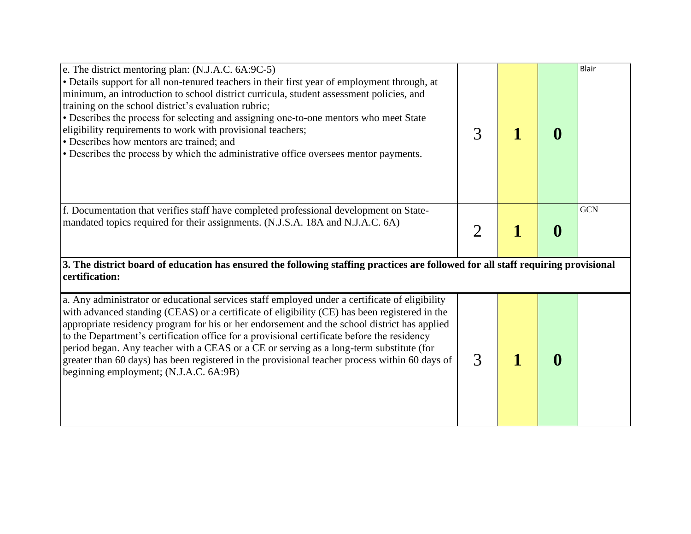| e. The district mentoring plan: (N.J.A.C. 6A: 9C-5)<br>• Details support for all non-tenured teachers in their first year of employment through, at<br>minimum, an introduction to school district curricula, student assessment policies, and<br>training on the school district's evaluation rubric;<br>• Describes the process for selecting and assigning one-to-one mentors who meet State<br>eligibility requirements to work with provisional teachers;<br>• Describes how mentors are trained; and<br>• Describes the process by which the administrative office oversees mentor payments.                                    | 3              | $\bf{0}$ | Blair      |
|---------------------------------------------------------------------------------------------------------------------------------------------------------------------------------------------------------------------------------------------------------------------------------------------------------------------------------------------------------------------------------------------------------------------------------------------------------------------------------------------------------------------------------------------------------------------------------------------------------------------------------------|----------------|----------|------------|
| f. Documentation that verifies staff have completed professional development on State-<br>mandated topics required for their assignments. (N.J.S.A. 18A and N.J.A.C. 6A)                                                                                                                                                                                                                                                                                                                                                                                                                                                              | $\overline{2}$ | $\bf{0}$ | <b>GCN</b> |
| 3. The district board of education has ensured the following staffing practices are followed for all staff requiring provisional<br>certification:                                                                                                                                                                                                                                                                                                                                                                                                                                                                                    |                |          |            |
| a. Any administrator or educational services staff employed under a certificate of eligibility<br>with advanced standing (CEAS) or a certificate of eligibility (CE) has been registered in the<br>appropriate residency program for his or her endorsement and the school district has applied<br>to the Department's certification office for a provisional certificate before the residency<br>period began. Any teacher with a CEAS or a CE or serving as a long-term substitute (for<br>greater than 60 days) has been registered in the provisional teacher process within 60 days of<br>beginning employment; (N.J.A.C. 6A:9B) | 3              | $\bf{0}$ |            |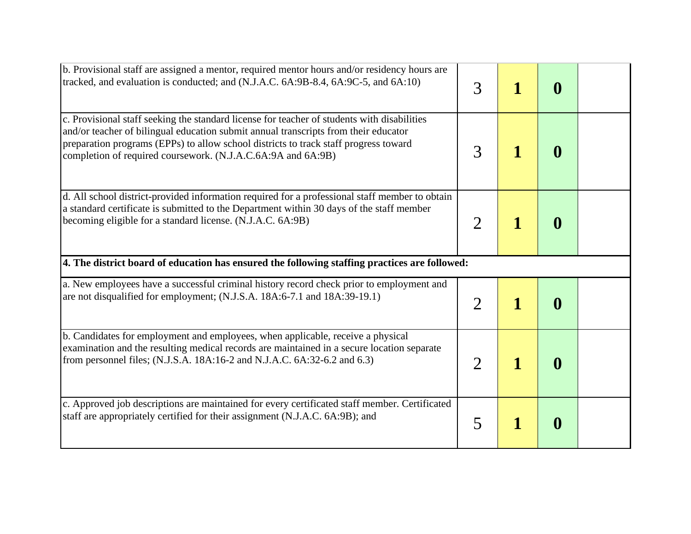| b. Provisional staff are assigned a mentor, required mentor hours and/or residency hours are<br>tracked, and evaluation is conducted; and (N.J.A.C. 6A:9B-8.4, 6A:9C-5, and 6A:10)                                                                                                                                                         | 3                     |   | 0        |  |
|--------------------------------------------------------------------------------------------------------------------------------------------------------------------------------------------------------------------------------------------------------------------------------------------------------------------------------------------|-----------------------|---|----------|--|
| c. Provisional staff seeking the standard license for teacher of students with disabilities<br>and/or teacher of bilingual education submit annual transcripts from their educator<br>preparation programs (EPPs) to allow school districts to track staff progress toward<br>completion of required coursework. (N.J.A.C.6A:9A and 6A:9B) | 3                     |   | 0        |  |
| d. All school district-provided information required for a professional staff member to obtain<br>a standard certificate is submitted to the Department within 30 days of the staff member<br>becoming eligible for a standard license. (N.J.A.C. 6A:9B)                                                                                   | $\overline{2}$        |   | 0        |  |
| 4. The district board of education has ensured the following staffing practices are followed:                                                                                                                                                                                                                                              |                       |   |          |  |
| a. New employees have a successful criminal history record check prior to employment and<br>are not disqualified for employment; (N.J.S.A. 18A:6-7.1 and 18A:39-19.1)                                                                                                                                                                      | $\overline{2}$        |   | $\bf{0}$ |  |
| b. Candidates for employment and employees, when applicable, receive a physical<br>examination and the resulting medical records are maintained in a secure location separate<br>from personnel files; (N.J.S.A. 18A:16-2 and N.J.A.C. 6A:32-6.2 and 6.3)                                                                                  | $\mathcal{D}_{\cdot}$ | 1 | 0        |  |
| c. Approved job descriptions are maintained for every certificated staff member. Certificated<br>staff are appropriately certified for their assignment (N.J.A.C. 6A:9B); and                                                                                                                                                              | 5                     |   | $\bf{0}$ |  |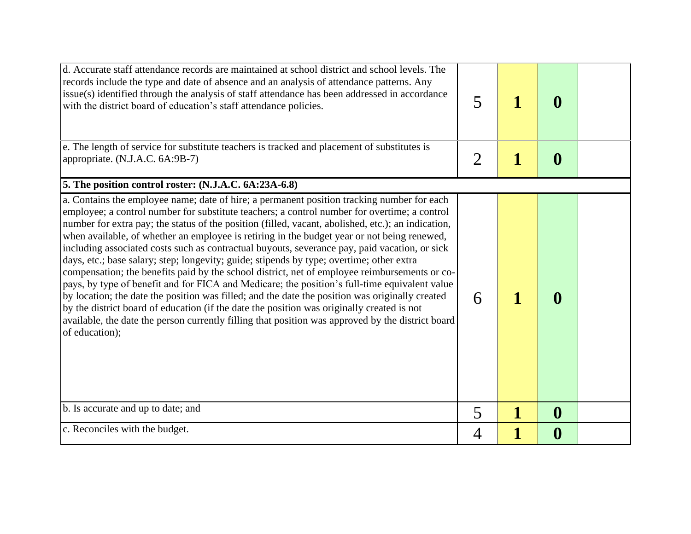| d. Accurate staff attendance records are maintained at school district and school levels. The<br>records include the type and date of absence and an analysis of attendance patterns. Any<br>issue(s) identified through the analysis of staff attendance has been addressed in accordance<br>with the district board of education's staff attendance policies.                                                                                                                                                                                                                                                                                                                                                                                                                                                                                                                                                                                                                                                                                                                                                        | 5              |   | $\bf{0}$         |  |
|------------------------------------------------------------------------------------------------------------------------------------------------------------------------------------------------------------------------------------------------------------------------------------------------------------------------------------------------------------------------------------------------------------------------------------------------------------------------------------------------------------------------------------------------------------------------------------------------------------------------------------------------------------------------------------------------------------------------------------------------------------------------------------------------------------------------------------------------------------------------------------------------------------------------------------------------------------------------------------------------------------------------------------------------------------------------------------------------------------------------|----------------|---|------------------|--|
| e. The length of service for substitute teachers is tracked and placement of substitutes is<br>appropriate. (N.J.A.C. 6A:9B-7)                                                                                                                                                                                                                                                                                                                                                                                                                                                                                                                                                                                                                                                                                                                                                                                                                                                                                                                                                                                         | $\overline{2}$ | 1 | $\boldsymbol{0}$ |  |
| 5. The position control roster: (N.J.A.C. 6A:23A-6.8)                                                                                                                                                                                                                                                                                                                                                                                                                                                                                                                                                                                                                                                                                                                                                                                                                                                                                                                                                                                                                                                                  |                |   |                  |  |
| a. Contains the employee name; date of hire; a permanent position tracking number for each<br>employee; a control number for substitute teachers; a control number for overtime; a control<br>number for extra pay; the status of the position (filled, vacant, abolished, etc.); an indication,<br>when available, of whether an employee is retiring in the budget year or not being renewed,<br>including associated costs such as contractual buyouts, severance pay, paid vacation, or sick<br>days, etc.; base salary; step; longevity; guide; stipends by type; overtime; other extra<br>compensation; the benefits paid by the school district, net of employee reimbursements or co-<br>pays, by type of benefit and for FICA and Medicare; the position's full-time equivalent value<br>by location; the date the position was filled; and the date the position was originally created<br>by the district board of education (if the date the position was originally created is not<br>available, the date the person currently filling that position was approved by the district board<br>of education); | 6              |   | $\mathbf{0}$     |  |
| b. Is accurate and up to date; and                                                                                                                                                                                                                                                                                                                                                                                                                                                                                                                                                                                                                                                                                                                                                                                                                                                                                                                                                                                                                                                                                     | 5              | 1 | $\boldsymbol{0}$ |  |
| c. Reconciles with the budget.                                                                                                                                                                                                                                                                                                                                                                                                                                                                                                                                                                                                                                                                                                                                                                                                                                                                                                                                                                                                                                                                                         | 4              |   | $\boldsymbol{0}$ |  |